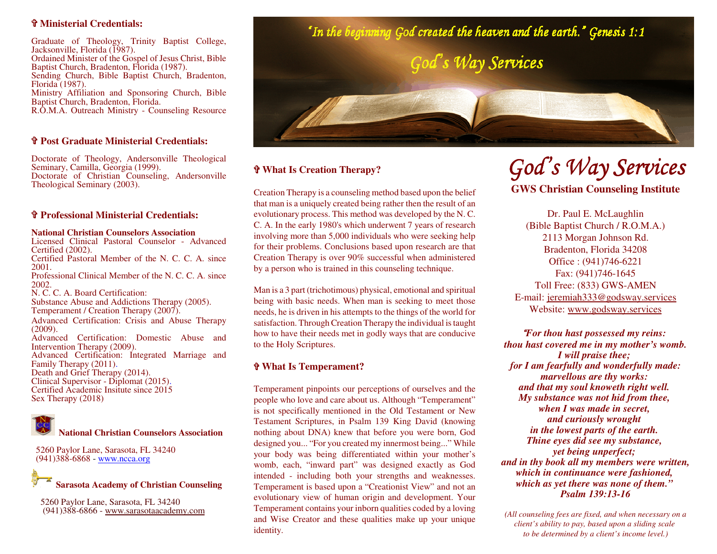### \_ **Ministerial Credentials:**

Graduate of Theology, Trinity Baptist College,Jacksonville, Florida (1987). Ordained Minister of the Gospel of Jesus Christ, BibleBaptist Church, Bradenton, Florida (1987). Sending Church, Bible Baptist Church, Bradenton,Florida (1987). Ministry Affiliation and Sponsoring Church, BibleBaptist Church, Bradenton, Florida. R.O.M.A. Outreach Ministry - Counseling Resource

# \_ **Post Graduate Ministerial Credentials:**

Doctorate of Theology, Andersonville TheologicalSeminary, Camilla, Georgia (1999). Doctorate of Christian Counseling, AndersonvilleTheological Seminary (2003).

## \_ **Professional Ministerial Credentials:**

### **National Christian Counselors Association**

 Licensed Clinical Pastoral Counselor - AdvancedCertified (2002).Certified Pastoral Member of the N. C. C. A. since

2001.

 Professional Clinical Member of the N. C. C. A. since 2002.

N. C. C. A. Board Certification:

 Substance Abuse and Addictions Therapy (2005).Temperament / Creation Therapy (2007).

Advanced Certification: Crisis and Abuse Therapy (2009).

 Advanced Certification: Domestic Abuse andIntervention Therapy (2009).

 Advanced Certification: Integrated Marriage andFamily Therapy (2011). Death and Grief Therapy (2014).Clinical Supervisor - Diplomat (2015).

 Certified Academic Insitute since 2015Sex Therapy (2018)



 5260 Paylor Lane, Sarasota, FL 34240(941)388-6868 - www.ncca.org



 5260 Paylor Lane, Sarasota, FL 34240(941)388-6866 - www.sarasotaacademy.com



### \_ **What Is Creation Therapy?**

Creation Therapy is a counseling method based upon the belief that man is a uniquely created being rather then the result of an evolutionary process. This method was developed by the N. C. C. A. In the early 1980's which underwent 7 years of research involving more than 5,000 individuals who were seeking help for their problems. Conclusions based upon research are that Creation Therapy is over 90% successful when administeredby a person who is trained in this counseling technique.

Man is a 3 part (trichotimous) physical, emotional and spiritual being with basic needs. When man is seeking to meet those needs, he is driven in his attempts to the things of the world for satisfaction. Through Creation Therapy the individual is taught how to have their needs met in godly ways that are conduciveto the Holy Scriptures.

### \_ **What Is Temperament?**

Temperament pinpoints our perceptions of ourselves and the people who love and care about us. Although "Temperament" is not specifically mentioned in the Old Testament or New Testament Scriptures, in Psalm 139 King David (knowing nothing about DNA) knew that before you were born, God designed you... "For you created my innermost being..." While your body was being differentiated within your mother's womb, each, "inward part" was designed exactly as God intended - including both your strengths and weaknesses. Temperament is based upon a "Creationist View" and not an evolutionary view of human origin and development. Your Temperament contains your inborn qualities coded by a loving and Wise Creator and these qualities make up your uniqueidentity.

# *God's Way Services*

**GWS Christian Counseling Institute**

Dr. Paul E. McLaughlin (Bible Baptist Church / R.O.M.A.)2113 Morgan Johnson Rd.Bradenton, Florida 34208 Office : (941)746-6221Fax: (941)746-1645 Toll Free: (833) GWS-AMEN E-mail: jeremiah333@godsway.servicesWebsite: www.godsway.services

*"For thou hast possessed my reins: thou hast covered me in my mother's womb.I will praise thee; for I am fearfully and wonderfully made:marvellous are thy works: and that my soul knoweth right well. My substance was not hid from thee, when I was made in secret, and curiously wrought in the lowest parts of the earth. Thine eyes did see my substance, yet being unperfect; and in thy book all my members were written,which in continuance were fashioned, which as yet there was none of them." Psalm 139:13-16*

*(All counseling fees are fixed, and when necessary on aclient's ability to pay, based upon a sliding scaleto be determined by a client's income level.)*